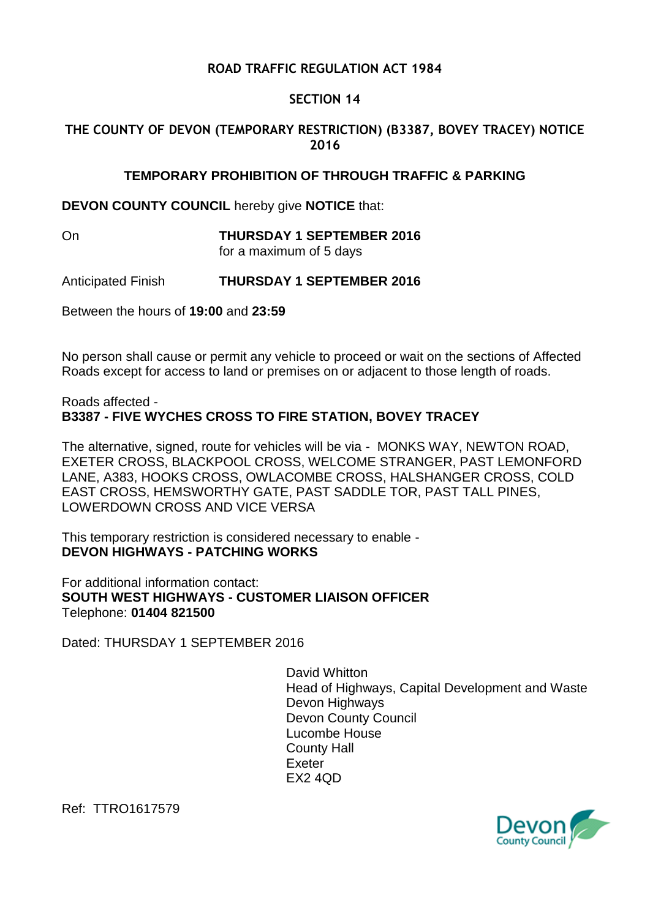## **ROAD TRAFFIC REGULATION ACT 1984**

### **SECTION 14**

# **THE COUNTY OF DEVON (TEMPORARY RESTRICTION) (B3387, BOVEY TRACEY) NOTICE 2016**

#### **TEMPORARY PROHIBITION OF THROUGH TRAFFIC & PARKING**

**DEVON COUNTY COUNCIL** hereby give **NOTICE** that:

On **THURSDAY 1 SEPTEMBER 2016** for a maximum of 5 days

Anticipated Finish **THURSDAY 1 SEPTEMBER 2016**

Between the hours of **19:00** and **23:59**

No person shall cause or permit any vehicle to proceed or wait on the sections of Affected Roads except for access to land or premises on or adjacent to those length of roads.

#### Roads affected - **B3387 - FIVE WYCHES CROSS TO FIRE STATION, BOVEY TRACEY**

The alternative, signed, route for vehicles will be via - MONKS WAY, NEWTON ROAD, EXETER CROSS, BLACKPOOL CROSS, WELCOME STRANGER, PAST LEMONFORD LANE, A383, HOOKS CROSS, OWLACOMBE CROSS, HALSHANGER CROSS, COLD EAST CROSS, HEMSWORTHY GATE, PAST SADDLE TOR, PAST TALL PINES, LOWERDOWN CROSS AND VICE VERSA

This temporary restriction is considered necessary to enable - **DEVON HIGHWAYS - PATCHING WORKS**

For additional information contact: **SOUTH WEST HIGHWAYS - CUSTOMER LIAISON OFFICER** Telephone: **01404 821500**

Dated: THURSDAY 1 SEPTEMBER 2016

David Whitton Head of Highways, Capital Development and Waste Devon Highways Devon County Council Lucombe House County Hall Exeter EX2 4QD



Ref: TTRO1617579